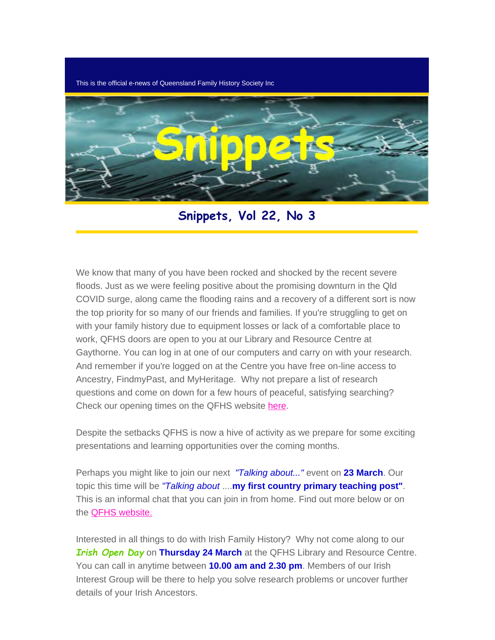This is the official e-news of Queensland Family History Society Inc



**Snippets, Vol 22, No 3**

We know that many of you have been rocked and shocked by the recent severe floods. Just as we were feeling positive about the promising downturn in the Qld COVID surge, along came the flooding rains and a recovery of a different sort is now the top priority for so many of our friends and families. If you're struggling to get on with your family history due to equipment losses or lack of a comfortable place to work, QFHS doors are open to you at our Library and Resource Centre at Gaythorne. You can log in at one of our computers and carry on with your research. And remember if you're logged on at the Centre you have free on-line access to Ancestry, FindmyPast, and MyHeritage. Why not prepare a list of research questions and come on down for a few hours of peaceful, satisfying searching? Check our opening times on the QFHS website [here](https://www.qfhs.org.au/).

Despite the setbacks QFHS is now a hive of activity as we prepare for some exciting presentations and learning opportunities over the coming months.

Perhaps you might like to join our next *"Talking about..."* event on **23 March**. Our topic this time will be *"Talking about* ....**my first country primary teaching post"**. This is an informal chat that you can join in from home. Find out more below or on the [QFHS website.](https://www.qfhs.org.au/events/talking-aboutmy-first-country-primary-teaching-post/)

Interested in all things to do with Irish Family History? Why not come along to our *Irish Open Day* on **Thursday 24 March** at the QFHS Library and Resource Centre. You can call in anytime between **10.00 am and 2.30 pm**. Members of our Irish Interest Group will be there to help you solve research problems or uncover further details of your Irish Ancestors.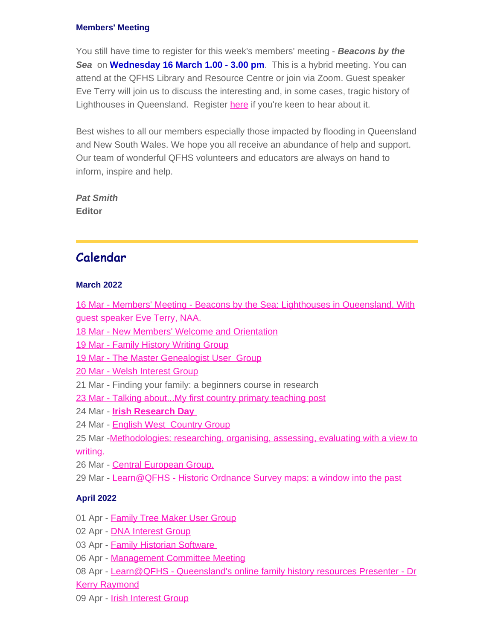#### **Members' Meeting**

You still have time to register for this week's members' meeting - *Beacons by the Sea* on **Wednesday 16 March 1.00 - 3.00 pm**. This is a hybrid meeting. You can attend at the QFHS Library and Resource Centre or join via Zoom. Guest speaker Eve Terry will join us to discuss the interesting and, in some cases, tragic history of Lighthouses in Queensland. Register [here](https://www.eventbrite.com.au/e/members-meeting-march-eve-terry-tickets-247782041757) if you're keen to hear about it.

Best wishes to all our members especially those impacted by flooding in Queensland and New South Wales. We hope you all receive an abundance of help and support. Our team of wonderful QFHS volunteers and educators are always on hand to inform, inspire and help.

*Pat Smith* **Editor**

## **Calendar**

#### **March 2022**

[16 Mar - Members' Meeting - Beacons by the Sea: Lighthouses in Queensland. With](https://www.qfhs.org.au/CalendarEvent.aspx?dt=20220316_130000_36) [guest speaker Eve Terry, NAA.](https://www.qfhs.org.au/CalendarEvent.aspx?dt=20220316_130000_36)

- [18 Mar New Members' Welcome and Orientation](https://www.qfhs.org.au/CalendarEvent.aspx?dt=20220318_090000_37)
- [19 Mar Family History Writing Group](https://www.qfhs.org.au/CalendarEvent.aspx?dt=20220319_090000_38)
- [19 Mar The Master Genealogist User Group](https://www.qfhs.org.au/CalendarEvent.aspx?dt=20220319_133000_39)
- [20 Mar Welsh Interest Group](https://www.qfhs.org.au/CalendarEvent.aspx?dt=20220320_100000_40)
- 21 Mar Finding your family: a beginners course in research
- [23 Mar Talking about...My first country primary teaching post](https://www.qfhs.org.au/CalendarEvent.aspx?dt=20220323_100000_170)
- 24 Mar **[Irish Research Day](https://www.qfhs.org.au/CalendarEvent.aspx?dt=20220324_110000_174)**
- 24 Mar [English West Country Group](https://www.qfhs.org.au/CalendarEvent.aspx?dt=20220324_120000_42)
- 25 Mar [-Methodologies: researching, organising, assessing, evaluating with a view to](https://www.qfhs.org.au/CalendarEvent.aspx?dt=20220325_100000_161) [writing.](https://www.qfhs.org.au/CalendarEvent.aspx?dt=20220325_100000_161)
- 26 Mar [Central European Group.](https://www.qfhs.org.au/CalendarEvent.aspx?dt=20220326_100000_43)
- 29 Mar Learn@QFHS [Historic Ordnance Survey maps: a window into the past](https://www.qfhs.org.au/CalendarEvent.aspx?dt=20220329_193000_169)

#### **April 2022**

- 01 Apr [Family Tree Maker User Group](https://www.qfhs.org.au/CalendarEvent.aspx?dt=20220401_100000_44)
- 02 Apr **[DNA Interest Group](https://www.qfhs.org.au/CalendarEvent.aspx?dt=20220402_133000_45)**
- 03 Apr [Family Historian Software](https://www.qfhs.org.au/CalendarEvent.aspx?dt=20220403_130000_166)
- 06 Apr [Management Committee Meeting](https://www.qfhs.org.au/CalendarEvent.aspx?dt=20220406_193000_46)
- 08 Apr [Learn@QFHS Queensland's online family history resources Presenter Dr](https://www.qfhs.org.au/CalendarEvent.aspx?dt=20220408_100000_47)

[Kerry Raymond](https://www.qfhs.org.au/CalendarEvent.aspx?dt=20220408_100000_47)

09 Apr - [Irish Interest Group](https://www.qfhs.org.au/CalendarEvent.aspx?dt=20220409_103000_48)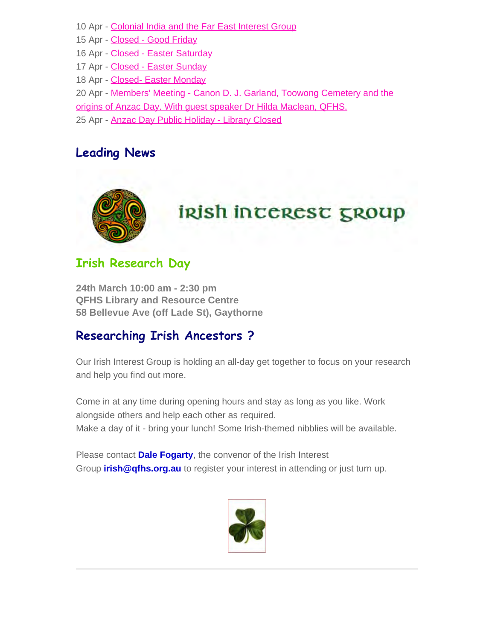- 10 Apr [Colonial India and the Far East Interest Group](https://www.qfhs.org.au/CalendarEvent.aspx?dt=20220410_103000_49)
- 15 Apr [Closed Good Friday](https://www.qfhs.org.au/CalendarEvent.aspx?dt=20220415_000000_50)
- 16 Apr [Closed Easter Saturday](https://www.qfhs.org.au/CalendarEvent.aspx?dt=20220416_000000_51)
- 17 Apr [Closed Easter Sunday](https://www.qfhs.org.au/CalendarEvent.aspx?dt=20220417_000000_52)
- 18 Apr [Closed- Easter Monday](https://www.qfhs.org.au/CalendarEvent.aspx?dt=20220418_000000_53)
- 20 Apr [Members'](https://www.qfhs.org.au/CalendarEvent.aspx?dt=20220420_193000_54) [Meeting Canon D. J. Garland, Toowong Cemetery and the](https://www.qfhs.org.au/CalendarEvent.aspx?dt=20220420_193000_54)
- [origins of Anzac Day. With guest speaker Dr Hilda Maclean, QFHS.](https://www.qfhs.org.au/CalendarEvent.aspx?dt=20220420_193000_54)
- 25 Apr **[Anzac Day Public Holiday Library Closed](https://www.qfhs.org.au/CalendarEvent.aspx?dt=20220425_000000_55)**

# **Leading News**



# **Irish Research Day**

**24th March 10:00 am - 2:30 pm QFHS Library and Resource Centre 58 Bellevue Ave (off Lade St), Gaythorne**

# **Researching Irish Ancestors ?**

Our Irish Interest Group is holding an all-day get together to focus on your research and help you find out more.

Come in at any time during opening hours and stay as long as you like. Work alongside others and help each other as required. Make a day of it - bring your lunch! Some Irish-themed nibblies will be available.

Please contact **Dale Fogarty**, the convenor of the Irish Interest Group **irish@qfhs.org.au** to register your interest in attending or just turn up.

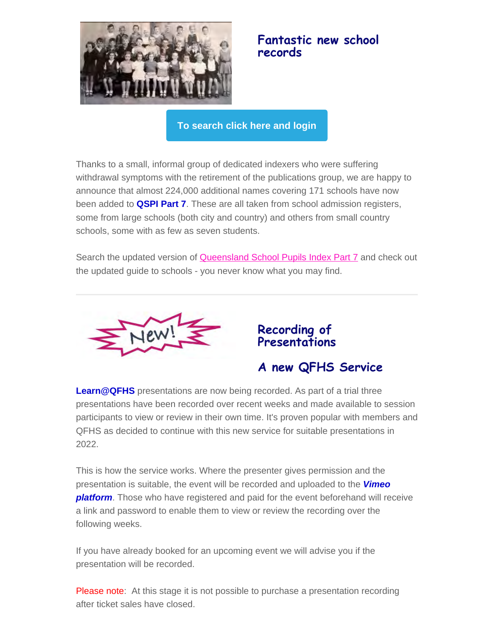

## **Fantastic new school records**

**[To search click here and login](https://www.qfhs.org.au/online-access/searchable-datasets/)**

Thanks to a small, informal group of dedicated indexers who were suffering withdrawal symptoms with the retirement of the publications group, we are happy to announce that almost 224,000 additional names covering 171 schools have now been added to **QSPI Part 7**. These are all taken from school admission registers, some from large schools (both city and country) and others from small country schools, some with as few as seven students.

Search the updated version of **Queensland School Pupils Index Part 7** and check out the updated guide to schools - you never know what you may find.



**Recording of Presentations**

**A new QFHS Service**

**Learn@QFHS** presentations are now being recorded. As part of a trial three presentations have been recorded over recent weeks and made available to session participants to view or review in their own time. It's proven popular with members and QFHS as decided to continue with this new service for suitable presentations in 2022.

This is how the service works. Where the presenter gives permission and the presentation is suitable, the event will be recorded and uploaded to the *Vimeo platform*. Those who have registered and paid for the event beforehand will receive a link and password to enable them to view or review the recording over the following weeks.

If you have already booked for an upcoming event we will advise you if the presentation will be recorded.

Please note: At this stage it is not possible to purchase a presentation recording after ticket sales have closed.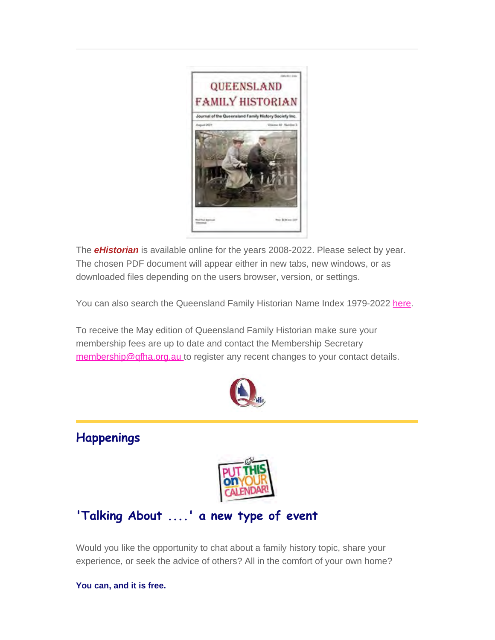

The *eHistorian* is available online for the years 2008-2022. Please select by year. The chosen PDF document will appear either in new tabs, new windows, or as downloaded files depending on the users browser, version, or settings.

You can also search the Queensland Family Historian Name Index 1979-2022 [here.](https://www.qfhs.org.au/online-access/qfhindex/)

To receive the May edition of Queensland Family Historian make sure your membership fees are up to date and contact the Membership Secretary [membership@qfha.org.au](mailto:membership@qfhs.org.au) to register any recent changes to your contact details.



# **Happenings**



# **'Talking About ....' a new type of event**

Would you like the opportunity to chat about a family history topic, share your experience, or seek the advice of others? All in the comfort of your own home?

#### **You can, and it is free.**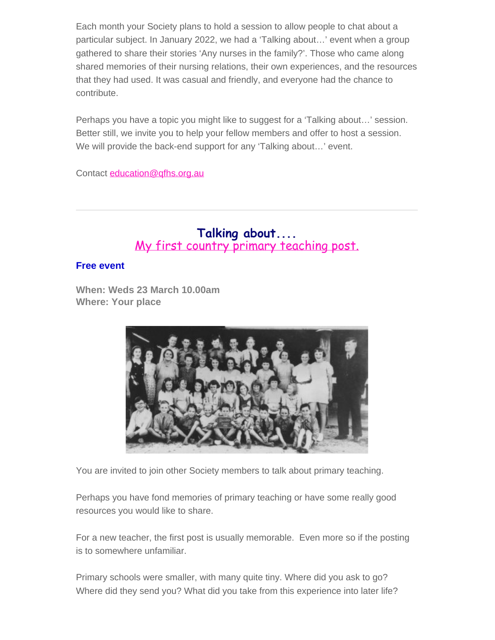Each month your Society plans to hold a session to allow people to chat about a particular subject. In January 2022, we had a 'Talking about…' event when a group gathered to share their stories 'Any nurses in the family?'. Those who came along shared memories of their nursing relations, their own experiences, and the resources that they had used. It was casual and friendly, and everyone had the chance to contribute.

Perhaps you have a topic you might like to suggest for a 'Talking about…' session. Better still, we invite you to help your fellow members and offer to host a session. We will provide the back-end support for any 'Talking about…' event.

Contact [education@qfhs.org.au](mailto:education@qfhs.org.au)

## **Talking about....** [My first country primary teaching post.](https://www.qfhs.org.au/CalendarEvent.aspx?dt=20220323_100000_170)

#### **Free event**

**When: Weds 23 March 10.00am Where: Your place**



You are invited to join other Society members to talk about primary teaching.

Perhaps you have fond memories of primary teaching or have some really good resources you would like to share.

For a new teacher, the first post is usually memorable. Even more so if the posting is to somewhere unfamiliar.

Primary schools were smaller, with many quite tiny. Where did you ask to go? Where did they send you? What did you take from this experience into later life?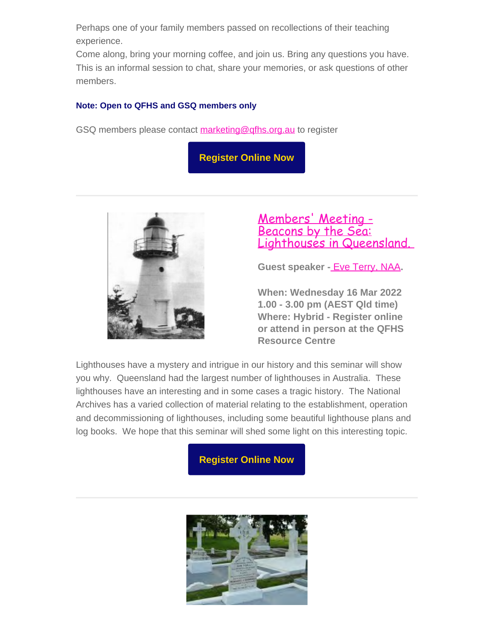Perhaps one of your family members passed on recollections of their teaching experience.

Come along, bring your morning coffee, and join us. Bring any questions you have. This is an informal session to chat, share your memories, or ask questions of other members.

#### **Note: Open to QFHS and GSQ members only**

GSQ members please contact [marketing@qfhs.org.au](mailto:marketin@qfhs.org.au) to register

**[Register Online Now](https://www.eventbrite.com.au/e/my-first-country-primary-teaching-post-tickets-265729232287)**



## [Members' Meeting -](https://www.qfhs.org.au/CalendarEvent.aspx?dt=20220316_130000_36) [Beacons by the Sea:](https://www.qfhs.org.au/CalendarEvent.aspx?dt=20220316_130000_36) Lighthouses in Queensland.

**Guest speaker -** [Eve Terry, NAA](https://www.qfhs.org.au/biographies/eve-terry/)**.**

**When: Wednesday 16 Mar 2022 1.00 - 3.00 pm (AEST Qld time) Where: Hybrid - Register online or attend in person at the QFHS Resource Centre**

Lighthouses have a mystery and intrigue in our history and this seminar will show you why. Queensland had the largest number of lighthouses in Australia. These lighthouses have an interesting and in some cases a tragic history. The National Archives has a varied collection of material relating to the establishment, operation and decommissioning of lighthouses, including some beautiful lighthouse plans and log books. We hope that this seminar will shed some light on this interesting topic.

**[Register Online Now](https://www.eventbrite.com.au/e/members-meeting-march-eve-terry-tickets-247782041757)**

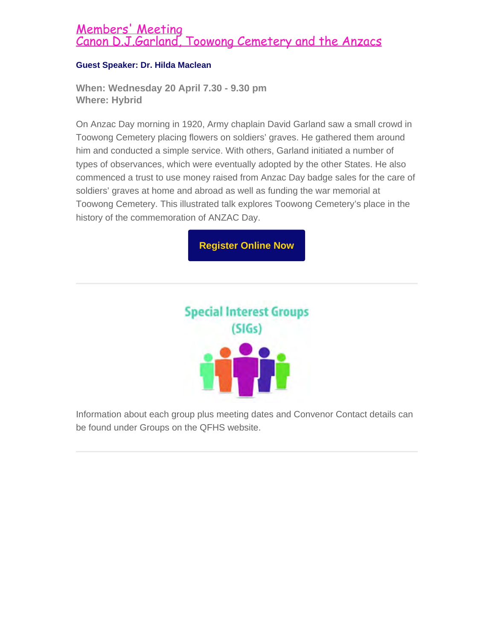## [Members' Meeting](https://www.qfhs.org.au/CalendarEvent.aspx?dt=20220420_193000_54) [Canon D.J.Garland, Toowong Cemetery and the Anzacs](https://www.qfhs.org.au/CalendarEvent.aspx?dt=20220420_193000_54)

#### **Guest Speaker: Dr. Hilda Maclean**

**When: Wednesday 20 April 7.30 - 9.30 pm Where: Hybrid**

On Anzac Day morning in 1920, Army chaplain David Garland saw a small crowd in Toowong Cemetery placing flowers on soldiers' graves. He gathered them around him and conducted a simple service. With others, Garland initiated a number of types of observances, which were eventually adopted by the other States. He also commenced a trust to use money raised from Anzac Day badge sales for the care of soldiers' graves at home and abroad as well as funding the war memorial at Toowong Cemetery. This illustrated talk explores Toowong Cemetery's place in the history of the commemoration of ANZAC Day.

**[Register Online Now](https://www.eventbrite.com.au/e/members-meeting-april-hilda-maclean-tickets-290034068707)**



Information about each group plus meeting dates and Convenor Contact details can be found under Groups on the QFHS website.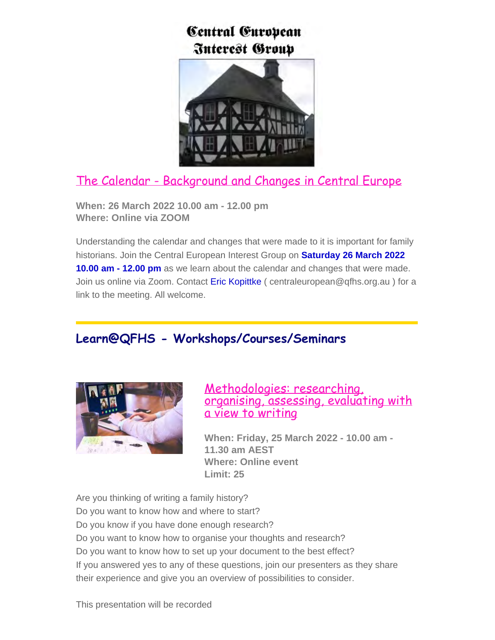# Central European **Interest Group**



# [The Calendar - Background and Changes in Central Europe](https://www.qfhs.org.au/groups/central-european/)

**When: 26 March 2022 10.00 am - 12.00 pm Where: Online via ZOOM**

Understanding the calendar and changes that were made to it is important for family historians. Join the Central European Interest Group on **Saturday 26 March 2022 10.00 am - 12.00 pm** as we learn about the calendar and changes that were made. Join us online via Zoom. Contact Eric Kopittke ( centraleuropean@qfhs.org.au ) for a link to the meeting. All welcome.

# **Learn@QFHS - Workshops/Courses/Seminars**



## [Methodologies: researching,](https://www.qfhs.org.au/CalendarEvent.aspx?dt=20220325_100000_161) [organising, assessing, evaluating with](https://www.qfhs.org.au/CalendarEvent.aspx?dt=20220325_100000_161) [a view to writing](https://www.qfhs.org.au/CalendarEvent.aspx?dt=20220325_100000_161)

**When: Friday, 25 March 2022 - 10.00 am - 11.30 am AEST Where: Online event Limit: 25**

Are you thinking of writing a family history?

- Do you want to know how and where to start?
- Do you know if you have done enough research?

Do you want to know how to organise your thoughts and research?

Do you want to know how to set up your document to the best effect?

If you answered yes to any of these questions, join our presenters as they share their experience and give you an overview of possibilities to consider.

This presentation will be recorded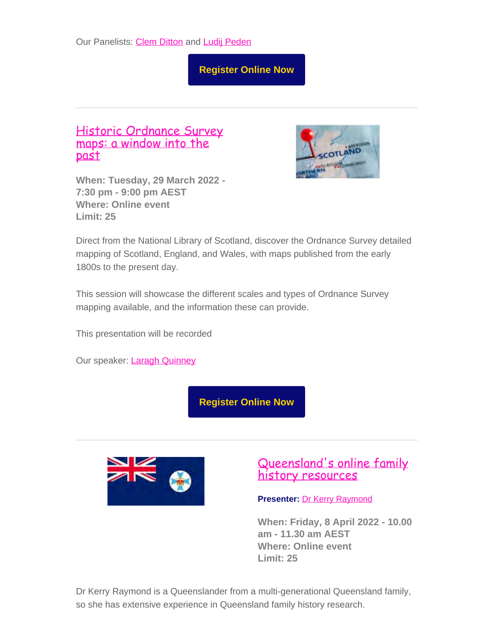**[Register Online Now](https://www.eventbrite.com.au/e/methodologies-researching-organising-assessing-evaluating-tickets-210286300987)**

## [Historic Ordnance Survey](https://www.qfhs.org.au/CalendarEvent.aspx?dt=20220329_193000_169) [maps: a window into the](https://www.qfhs.org.au/CalendarEvent.aspx?dt=20220329_193000_169) [past](https://www.qfhs.org.au/CalendarEvent.aspx?dt=20220329_193000_169)

**When: Tuesday, 29 March 2022 - 7:30 pm - 9:00 pm AEST Where: Online event Limit: 25**



Direct from the National Library of Scotland, discover the Ordnance Survey detailed mapping of Scotland, England, and Wales, with maps published from the early 1800s to the present day.

This session will showcase the different scales and types of Ordnance Survey mapping available, and the information these can provide.

This presentation will be recorded

Our speaker: [Laragh Quinney](https://www.qfhs.org.au/biographies/laragh-quinney/)

**[Register Online Now](https://www.eventbrite.com.au/e/historic-ordnance-survey-maps-tickets-265484259567)**



## [Queensland's online family](https://www.qfhs.org.au/CalendarEvent.aspx?dt=20220408_100000_47) [history resources](https://www.qfhs.org.au/CalendarEvent.aspx?dt=20220408_100000_47)

**Presenter:** [Dr Kerry Raymond](https://www.qfhs.org.au/biographies/kerry-raymond/)

**When: Friday, 8 April 2022 - 10.00 am - 11.30 am AEST Where: Online event Limit: 25**

Dr Kerry Raymond is a Queenslander from a multi-generational Queensland family, so she has extensive experience in Queensland family history research.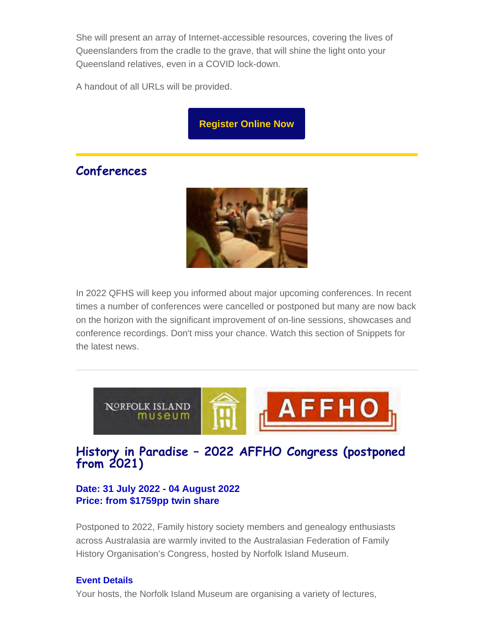She will present an array of Internet-accessible resources, covering the lives of Queenslanders from the cradle to the grave, that will shine the light onto your Queensland relatives, even in a COVID lock-down.

A handout of all URLs will be provided.

**[Register Online Now](https://www.eventbrite.com.au/e/queenslands-online-family-history-resources-tickets-230667491677)**

# **Conferences**



In 2022 QFHS will keep you informed about major upcoming conferences. In recent times a number of conferences were cancelled or postponed but many are now back on the horizon with the significant improvement of on-line sessions, showcases and conference recordings. Don't miss your chance. Watch this section of Snippets for the latest news.



## **History in Paradise – 2022 AFFHO Congress (postponed from 2021)**

## **Date: 31 July 2022 - 04 August 2022 Price: from \$1759pp twin share**

Postponed to 2022, Family history society members and genealogy enthusiasts across Australasia are warmly invited to the Australasian Federation of Family History Organisation's Congress, hosted by Norfolk Island Museum.

#### **Event Details**

Your hosts, the Norfolk Island Museum are organising a variety of lectures,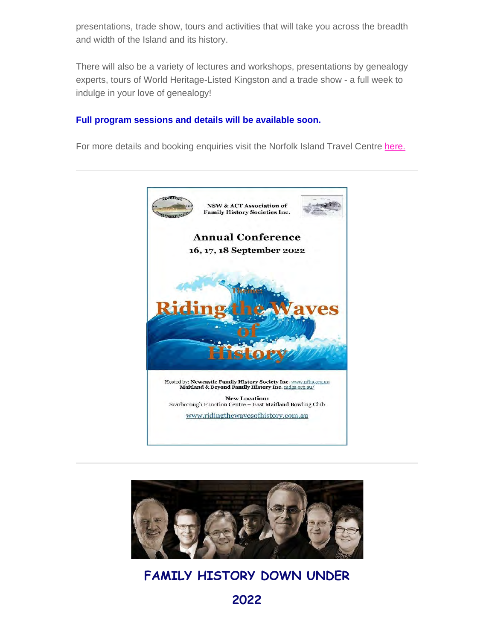presentations, trade show, tours and activities that will take you across the breadth and width of the Island and its history.

There will also be a variety of lectures and workshops, presentations by genealogy experts, tours of World Heritage-Listed Kingston and a trade show - a full week to indulge in your love of genealogy!

#### **Full program sessions and details will be available soon.**

For more details and booking enquiries visit the Norfolk Island Travel Centre [here.](https://www.norfolkislandtravelcentre.com/event/history-in-paradise-2021-affho-congress/?utm_source=sendinblue&utm_campaign=AFFHO%20Congress%202022%20-%20Round%201%20Indiv%20%20Clubs%20AU&utm_medium=email)





# **FAMILY HISTORY DOWN UNDER**

**2022**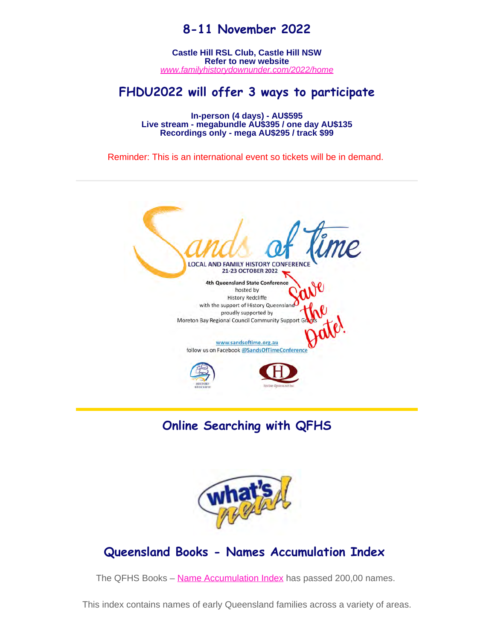# **8-11 November 2022**

**Castle Hill RSL Club, Castle Hill NSW Refer to new website** *[www.familyhistorydownunder.com/2022/home](https://www.fhdu22.com/)*

## **FHDU2022 will offer 3 ways to participate**

**In-person (4 days) - AU\$595 Live stream - megabundle AU\$395 / one day AU\$135 Recordings only - mega AU\$295 / track \$99**

Reminder: This is an international event so tickets will be in demand.



**Online Searching with QFHS**



## **Queensland Books - Names Accumulation Index**

The QFHS Books - [Name Accumulation Index](https://www.qfhs.org.au/online-access/qfhs-books-name-accumulation-index/) has passed 200,00 names.

This index contains names of early Queensland families across a variety of areas.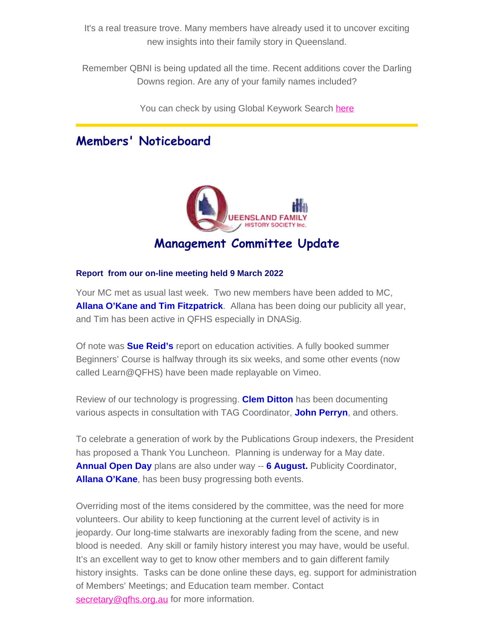It's a real treasure trove. Many members have already used it to uncover exciting new insights into their family story in Queensland.

Remember QBNI is being updated all the time. Recent additions cover the Darling Downs region. Are any of your family names included?

You can check by using Global Keywork Search [here](https://www.qfhs.org.au/online-access/searchable-datasets/global-keyword-search/)

# **Members' Noticeboard**



#### **Report from our on-line meeting held 9 March 2022**

Your MC met as usual last week. Two new members have been added to MC, **Allana O'Kane and Tim Fitzpatrick**. Allana has been doing our publicity all year, and Tim has been active in QFHS especially in DNASig.

Of note was **Sue Reid's** report on education activities. A fully booked summer Beginners' Course is halfway through its six weeks, and some other events (now called Learn@QFHS) have been made replayable on Vimeo.

Review of our technology is progressing. **Clem Ditton** has been documenting various aspects in consultation with TAG Coordinator, **John Perryn**, and others.

To celebrate a generation of work by the Publications Group indexers, the President has proposed a Thank You Luncheon. Planning is underway for a May date. **Annual Open Day** plans are also under way -- **6 August.** Publicity Coordinator, **Allana O'Kane**, has been busy progressing both events.

Overriding most of the items considered by the committee, was the need for more volunteers. Our ability to keep functioning at the current level of activity is in jeopardy. Our long-time stalwarts are inexorably fading from the scene, and new blood is needed. Any skill or family history interest you may have, would be useful. It's an excellent way to get to know other members and to gain different family history insights. Tasks can be done online these days, eg. support for administration of Members' Meetings; and Education team member. Contact [secretary@qfhs.org.au](mailto:secretary@qfh.org.au) for more information.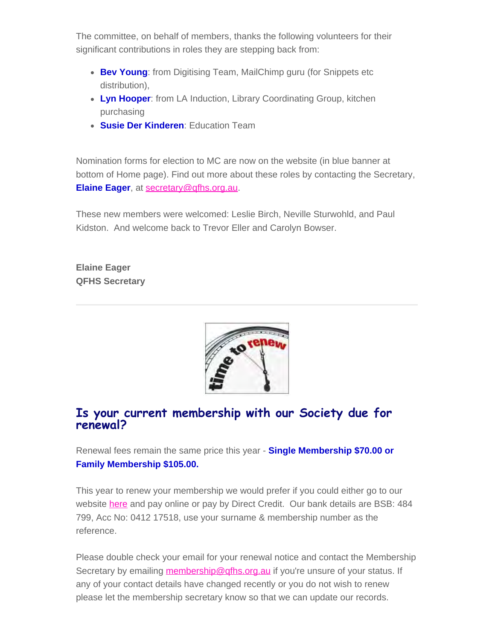The committee, on behalf of members, thanks the following volunteers for their significant contributions in roles they are stepping back from:

- **Bev Young:** from Digitising Team, MailChimp guru (for Snippets etc distribution),
- **Lyn Hooper**: from LA Induction, Library Coordinating Group, kitchen purchasing
- **Susie Der Kinderen**: Education Team

Nomination forms for election to MC are now on the website (in blue banner at bottom of Home page). Find out more about these roles by contacting the Secretary, **Elaine Eager**, at [secretary@qfhs.org.au](mailto:secretary@qfhs.org.au).

These new members were welcomed: Leslie Birch, Neville Sturwohld, and Paul Kidston. And welcome back to Trevor Eller and Carolyn Bowser.

**Elaine Eager QFHS Secretary**



## **Is your current membership with our Society due for renewal?**

Renewal fees remain the same price this year - **Single Membership \$70.00 or Family Membership \$105.00.**

This year to renew your membership we would prefer if you could either go to our website [here](https://www.qfhs.org.au/) and pay online or pay by Direct Credit. Our bank details are BSB: 484 799, Acc No: 0412 17518, use your surname & membership number as the reference.

Please double check your email for your renewal notice and contact the Membership Secretary by emailing membership@gfhs.org.au if you're unsure of your status. If any of your contact details have changed recently or you do not wish to renew please let the membership secretary know so that we can update our records.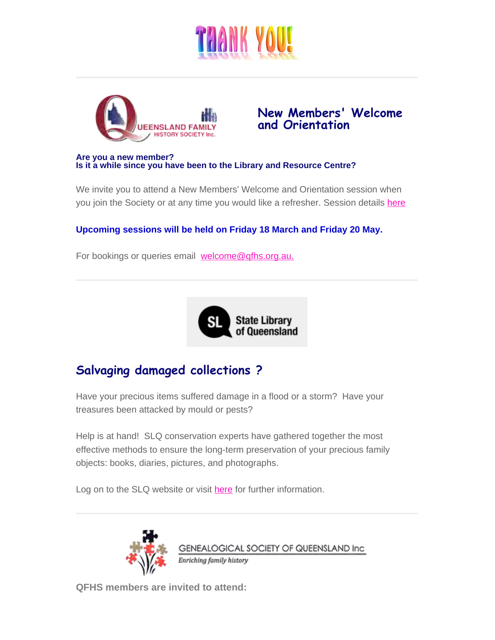



**New Members' Welcome and Orientation**

#### **Are you a new member? Is it a while since you have been to the Library and Resource Centre?**

We invite you to attend a New Members' Welcome and Orientation session when you join the Society or at any time you would like a refresher. Session details [here](https://www.qfhs.org.au/events/new-members-welcome-and-orientation/)

#### **Upcoming sessions will be held on Friday 18 March and Friday 20 May.**

For bookings or queries email [welcome@qfhs.org.au.](mailto:welcome@qfhs.org.au?subject=New%20Members%20Orientation)



# **Salvaging damaged collections ?**

Have your precious items suffered damage in a flood or a storm? Have your treasures been attacked by mould or pests?

Help is at hand! SLQ conservation experts have gathered together the most effective methods to ensure the long-term preservation of your precious family objects: books, diaries, pictures, and photographs.

Log on to the SLQ website or visit [here](https://www.slq.qld.gov.au/how-do-i/preserve-your-collections/salvaging-damaged-collections) for further information.



GENEALOGICAL SOCIETY OF QUEENSLAND Inc Enriching family history

**QFHS members are invited to attend:**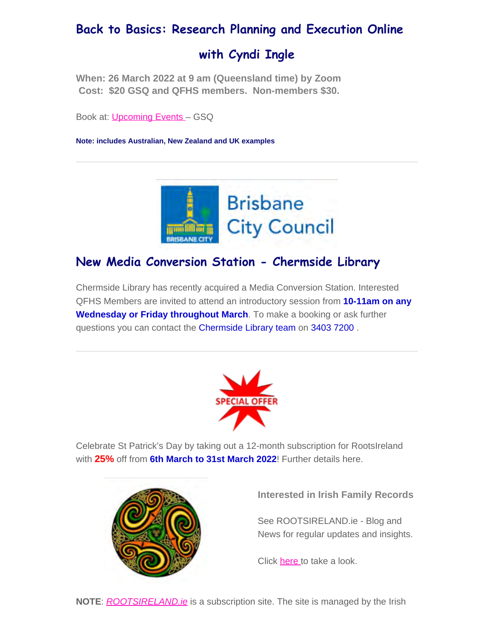# **Back to Basics: Research Planning and Execution Online**

# **with Cyndi Ingle**

**When: 26 March 2022 at 9 am (Queensland time) by Zoom Cost: \$20 GSQ and QFHS members. Non-members \$30.**

Book at: [Upcoming Events](https://www.gsq.org.au/event/back-to-basics-research-planning-and-execution-online/) – GSQ

**Note: includes Australian, New Zealand and UK examples**



# **New Media Conversion Station - Chermside Library**

Chermside Library has recently acquired a Media Conversion Station. Interested QFHS Members are invited to attend an introductory session from **10-11am on any Wednesday or Friday throughout March**. To make a booking or ask further questions you can contact the Chermside Library team on 3403 7200 .



Celebrate St Patrick's Day by taking out a 12-month subscription for RootsIreland with **25%** off from **6th March to 31st March 2022**! Further details here.



**Interested in Irish Family Records**

See ROOTSIRELAND.ie - Blog and News for regular updates and insights.

Click [here](http://rootsireland.ie/) to take a look.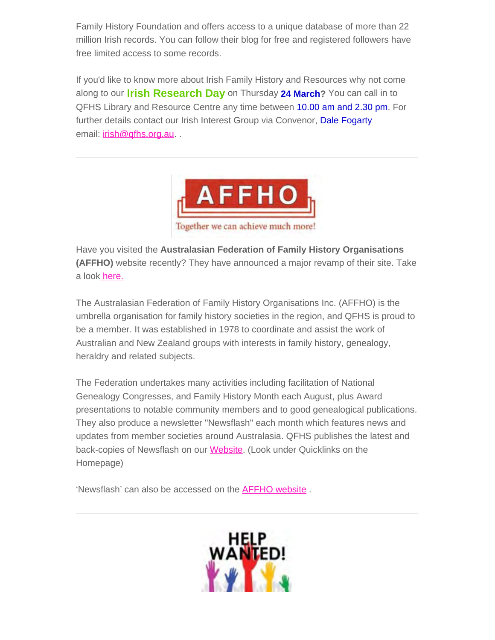Family History Foundation and offers access to a unique database of more than 22 million Irish records. You can follow their blog for free and registered followers have free limited access to some records.

If you'd like to know more about Irish Family History and Resources why not come along to our **Irish Research Day** on Thursday **24 March?** You can call in to QFHS Library and Resource Centre any time between 10.00 am and 2.30 pm. For further details contact our Irish Interest Group via Convenor, Dale Fogarty email: **[irish@qfhs.org.au](mailto:irish@qfhs.org.au).** .



Have you visited the **Australasian Federation of Family History Organisations (AFFHO)** website recently? They have announced a major revamp of their site. Take a loo[k here.](https://www.affho.org/index.php)

The Australasian Federation of Family History Organisations Inc. (AFFHO) is the umbrella organisation for family history societies in the region, and QFHS is proud to be a member. It was established in 1978 to coordinate and assist the work of Australian and New Zealand groups with interests in family history, genealogy, heraldry and related subjects.

The Federation undertakes many activities including facilitation of National Genealogy Congresses, and Family History Month each August, plus Award presentations to notable community members and to good genealogical publications. They also produce a newsletter "Newsflash" each month which features news and updates from member societies around Australasia. QFHS publishes the latest and back-copies of Newsflash on our [Website](https://www.qfhs.org.au/). (Look under Quicklinks on the Homepage)

'Newsflash' can also be accessed on the [AFFHO website](https://affho.org/index.php/publications/newsflash) .

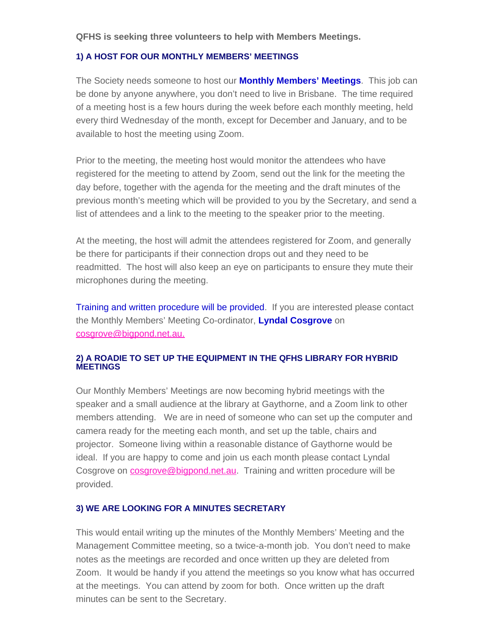#### **QFHS is seeking three volunteers to help with Members Meetings.**

#### **1) A HOST FOR OUR MONTHLY MEMBERS' MEETINGS**

The Society needs someone to host our **Monthly Members' Meetings**. This job can be done by anyone anywhere, you don't need to live in Brisbane. The time required of a meeting host is a few hours during the week before each monthly meeting, held every third Wednesday of the month, except for December and January, and to be available to host the meeting using Zoom.

Prior to the meeting, the meeting host would monitor the attendees who have registered for the meeting to attend by Zoom, send out the link for the meeting the day before, together with the agenda for the meeting and the draft minutes of the previous month's meeting which will be provided to you by the Secretary, and send a list of attendees and a link to the meeting to the speaker prior to the meeting.

At the meeting, the host will admit the attendees registered for Zoom, and generally be there for participants if their connection drops out and they need to be readmitted. The host will also keep an eye on participants to ensure they mute their microphones during the meeting.

Training and written procedure will be provided. If you are interested please contact the Monthly Members' Meeting Co-ordinator, **Lyndal Cosgrove** on [cosgrove@bigpond.net.au.](mailto:cosgrove@bigpond.net.au)

#### **2) A ROADIE TO SET UP THE EQUIPMENT IN THE QFHS LIBRARY FOR HYBRID MEETINGS**

Our Monthly Members' Meetings are now becoming hybrid meetings with the speaker and a small audience at the library at Gaythorne, and a Zoom link to other members attending. We are in need of someone who can set up the computer and camera ready for the meeting each month, and set up the table, chairs and projector. Someone living within a reasonable distance of Gaythorne would be ideal. If you are happy to come and join us each month please contact Lyndal Cosgrove on **[cosgrove@bigpond.net.au](mailto:cosgrove@bigpond.net.au)**. Training and written procedure will be provided.

#### **3) WE ARE LOOKING FOR A MINUTES SECRETARY**

This would entail writing up the minutes of the Monthly Members' Meeting and the Management Committee meeting, so a twice-a-month job. You don't need to make notes as the meetings are recorded and once written up they are deleted from Zoom. It would be handy if you attend the meetings so you know what has occurred at the meetings. You can attend by zoom for both. Once written up the draft minutes can be sent to the Secretary.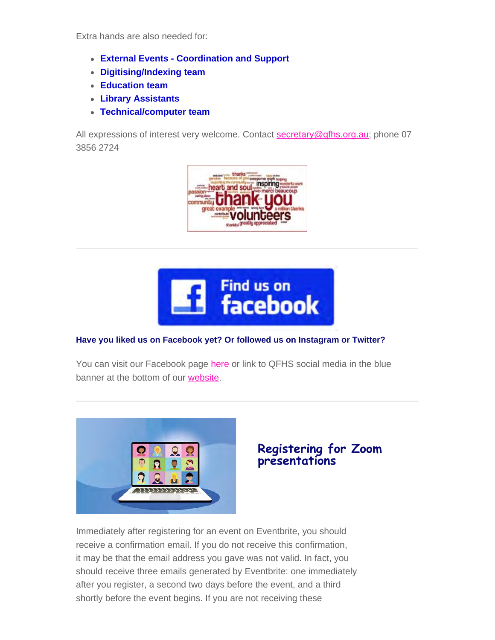Extra hands are also needed for:

- **External Events Coordination and Support**
- **Digitising/Indexing team**
- **Education team**
- **Library Assistants**
- **Technical/computer team**

All expressions of interest very welcome. Contact [secretary@qfhs.org.au](mailto:secretary@qfhs.org.au); phone 07 3856 2724





#### **Have you liked us on Facebook yet? Or followed us on Instagram or Twitter?**

You can visit our Facebook page [here](https://www.facebook.com/qldfamilyhistorysociety/) or link to QFHS social media in the blue banner at the bottom of our [website.](https://www.qfhs.org.au/)



## **Registering for Zoom presentations**

Immediately after registering for an event on Eventbrite, you should receive a confirmation email. If you do not receive this confirmation, it may be that the email address you gave was not valid. In fact, you should receive three emails generated by Eventbrite: one immediately after you register, a second two days before the event, and a third shortly before the event begins. If you are not receiving these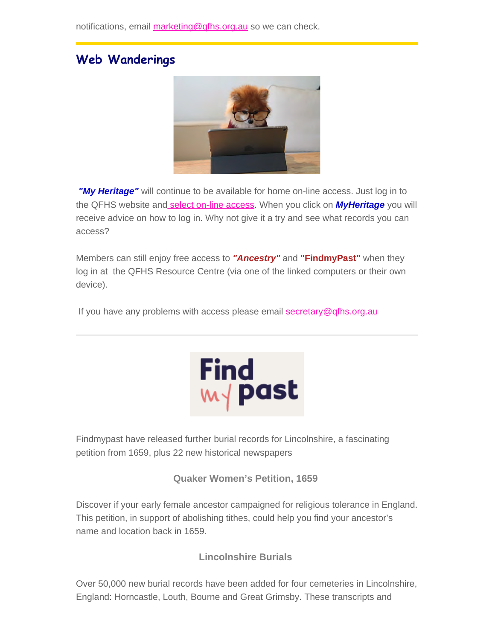# **Web Wanderings**



*"My Heritage"* will continue to be available for home on-line access. Just log in to the QFHS website an[d select on-line access](https://www.qfhs.org.au/online-access/). When you click on *MyHeritage* you will receive advice on how to log in. Why not give it a try and see what records you can access?

Members can still enjoy free access to *"Ancestry"* and **"FindmyPast"** when they log in at the QFHS Resource Centre (via one of the linked computers or their own device).

If you have any problems with access please email [secretary@qfhs.org.au](mailto:secretary@qfhs.org.au?subject=Access%20to%20Subscription%20sites)



Findmypast have released further burial records for Lincolnshire, a fascinating petition from 1659, plus 22 new historical newspapers

**Quaker Women's Petition, 1659**

Discover if your early female ancestor campaigned for religious tolerance in England. This petition, in support of abolishing tithes, could help you find your ancestor's name and location back in 1659.

**Lincolnshire Burials**

Over 50,000 new burial records have been added for four cemeteries in Lincolnshire, England: Horncastle, Louth, Bourne and Great Grimsby. These transcripts and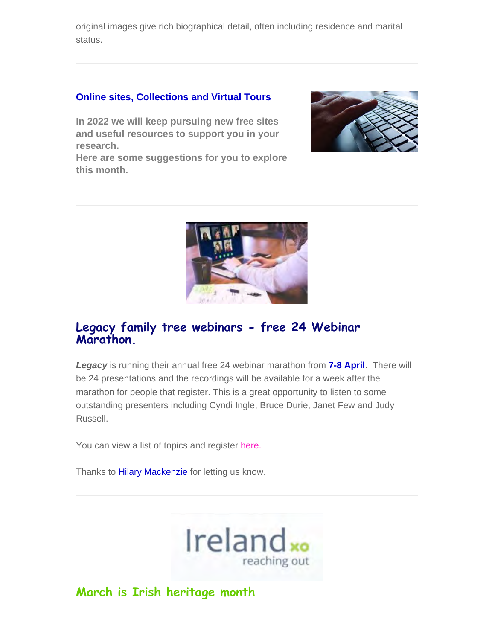original images give rich biographical detail, often including residence and marital status.

### **Online sites, Collections and Virtual Tours**

**In 2022 we will keep pursuing new free sites and useful resources to support you in your research.**

**Here are some suggestions for you to explore this month.**





## **Legacy family tree webinars - free 24 Webinar Marathon.**

*Legacy* is running their annual free 24 webinar marathon from **7-8 April**. There will be 24 presentations and the recordings will be available for a week after the marathon for people that register. This is a great opportunity to listen to some outstanding presenters including Cyndi Ingle, Bruce Durie, Janet Few and Judy Russell.

You can view a list of topics and register [here.](https://familytreewebinars.com/upcoming-webinars/?category=24&list_view=true&multiple=true)

Thanks to Hilary Mackenzie for letting us know.



## **March is Irish heritage month**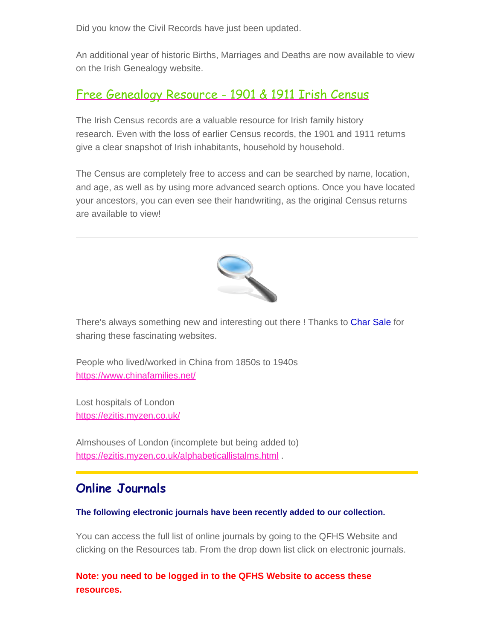Did you know the Civil Records have just been updated.

An additional year of historic Births, Marriages and Deaths are now available to view on the Irish Genealogy website.

# [Free Genealogy Resource - 1901 & 1911 Irish Census](https://irelandxo.com/ireland-xo/news/how-research-irish-census-1911-1901-and-earlier)

The Irish Census records are a valuable resource for Irish family history research. Even with the loss of earlier Census records, the 1901 and 1911 returns give a clear snapshot of Irish inhabitants, household by household.

The Census are completely free to access and can be searched by name, location, and age, as well as by using more advanced search options. Once you have located your ancestors, you can even see their handwriting, as the original Census returns are available to view!



There's always something new and interesting out there ! Thanks to Char Sale for sharing these fascinating websites.

People who lived/worked in China from 1850s to 1940s <https://www.chinafamilies.net/>

Lost hospitals of London <https://ezitis.myzen.co.uk/>

Almshouses of London (incomplete but being added to) <https://ezitis.myzen.co.uk/alphabeticallistalms.html> .

# **Online Journals**

#### **The following electronic journals have been recently added to our collection.**

You can access the full list of online journals by going to the QFHS Website and clicking on the Resources tab. From the drop down list click on electronic journals.

**Note: you need to be logged in to the QFHS Website to access these resources.**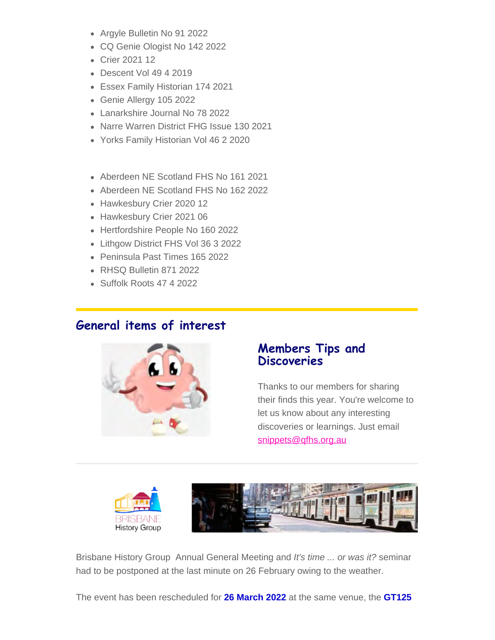- Argyle Bulletin No 91 2022
- CQ Genie Ologist No 142 2022
- Crier 2021 12
- Descent Vol 49 4 2019
- Essex Family Historian 174 2021
- Genie Allergy 105 2022
- Lanarkshire Journal No 78 2022
- Narre Warren District FHG Issue 130 2021
- Yorks Family Historian Vol 46 2 2020
- Aberdeen NE Scotland FHS No 161 2021
- Aberdeen NE Scotland FHS No 162 2022
- Hawkesbury Crier 2020 12
- Hawkesbury Crier 2021 06
- Hertfordshire People No 160 2022
- Lithgow District FHS Vol 36 3 2022
- Peninsula Past Times 165 2022
- RHSQ Bulletin 871 2022
- Suffolk Roots 47 4 2022

## **General items of interest**



## **Members Tips and Discoveries**

Thanks to our members for sharing their finds this year. You're welcome to let us know about any interesting discoveries or learnings. Just email [snippets@qfhs.org.au](mailto:snippets@qfhs.org.au)



Brisbane History Group Annual General Meeting and *It's time ... or was it?* seminar had to be postponed at the last minute on 26 February owing to the weather.

The event has been rescheduled for **26 March 2022** at the same venue, the **GT125**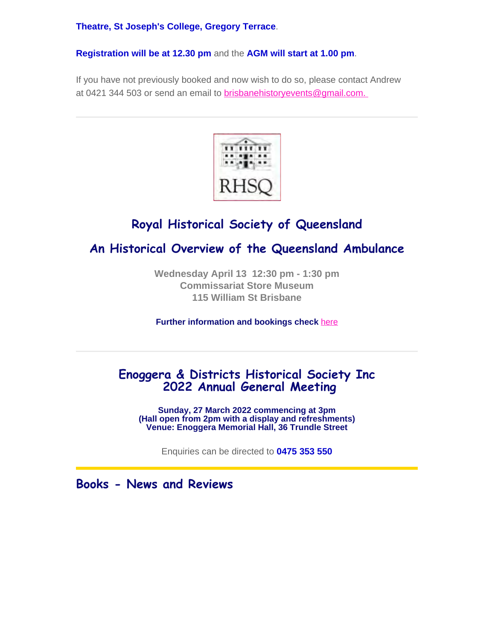**Theatre, St Joseph's College, Gregory Terrace**.

**Registration will be at 12.30 pm** and the **AGM will start at 1.00 pm**.

If you have not previously booked and now wish to do so, please contact Andrew at 0421 344 503 or send an email to **[brisbanehistoryevents@gmail.com.](mailto:brisbanehistoryevents@gmail.com)** 



# **Royal Historical Society of Queensland**

# **An Historical Overview of the Queensland Ambulance**

**Wednesday April 13 12:30 pm - 1:30 pm Commissariat Store Museum 115 William St Brisbane**

**Further information and bookings check** [here](https://queenslandhistory.org/events/an-historical-overview-of-the-queensland-ambulance/)

# **Enoggera & Districts Historical Society Inc 2022 Annual General Meeting**

**Sunday, 27 March 2022 commencing at 3pm (Hall open from 2pm with a display and refreshments) Venue: Enoggera Memorial Hall, 36 Trundle Street**

Enquiries can be directed to **0475 353 550**

**Books - News and Reviews**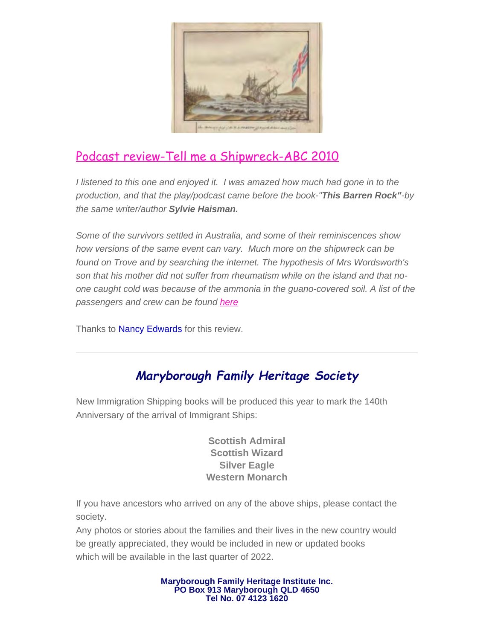

# [Podcast review-Tell me a Shipwreck-ABC 2010](http:// https//www.abc.net.au/radionational/programs/archived/hindsight/tell-me-a-shipwreck/3121764 )

*I listened to this one and enjoyed it. I was amazed how much had gone in to the production, and that the play/podcast came before the book-"This Barren Rock"-by the same writer/author Sylvie Haisman.*

*Some of the survivors settled in Australia, and some of their reminiscences show how versions of the same event can vary. Much more on the shipwreck can be found on Trove and by searching the internet. The hypothesis of Mrs Wordsworth's son that his mother did not suffer from rheumatism while on the island and that noone caught cold was because of the ammonia in the guano-covered soil. A list of the passengers and crew can be found [here](http://nzetc.victoria.ac.nz/tm/scholarly/tei-Bre02Whit-t1-body-d2-d1-d1.html)*

Thanks to Nancy Edwards for this review.

# *Maryborough Family Heritage Society*

New Immigration Shipping books will be produced this year to mark the 140th Anniversary of the arrival of Immigrant Ships:

> **Scottish Admiral Scottish Wizard Silver Eagle Western Monarch**

If you have ancestors who arrived on any of the above ships, please contact the society.

Any photos or stories about the families and their lives in the new country would be greatly appreciated, they would be included in new or updated books which will be available in the last quarter of 2022.

> **Maryborough Family Heritage Institute Inc. PO Box 913 Maryborough QLD 4650 Tel No. 07 4123 1620**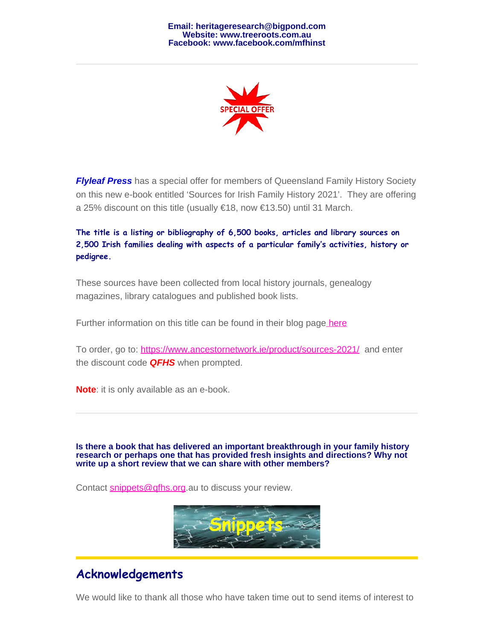

*Flyleaf Press* has a special offer for members of Queensland Family History Society on this new e-book entitled 'Sources for Irish Family History 2021'. They are offering a 25% discount on this title (usually €18, now €13.50) until 31 March.

**The title is a listing or bibliography of 6,500 books, articles and library sources on 2,500 Irish families dealing with aspects of a particular family's activities, history or pedigree.**

These sources have been collected from local history journals, genealogy magazines, library catalogues and published book lists.

Further information on this title can be found in their blog pag[e here](https://www.ancestornetwork.ie/new-e-book-sources-for-irish-family-history-2021/)

To order, go to: <https://www.ancestornetwork.ie/product/sources-2021/> and enter the discount code *QFHS* when prompted.

**Note**: it is only available as an e-book.

**Is there a book that has delivered an important breakthrough in your family history research or perhaps one that has provided fresh insights and directions? Why not write up a short review that we can share with other members?**

Contact [snippets@qfhs.org](mailto:snippets@qfhs.org.au).au to discuss your review.



# **Acknowledgements**

We would like to thank all those who have taken time out to send items of interest to